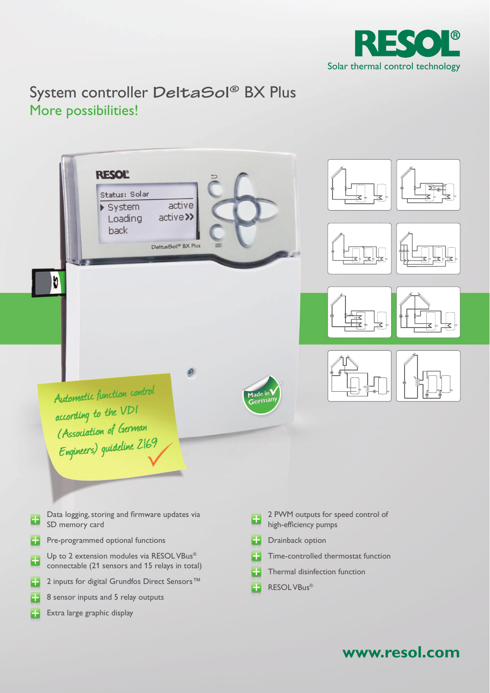

**www.resol.com**

# System controller DeltaSol<sup>®</sup> BX Plus More possibilities!